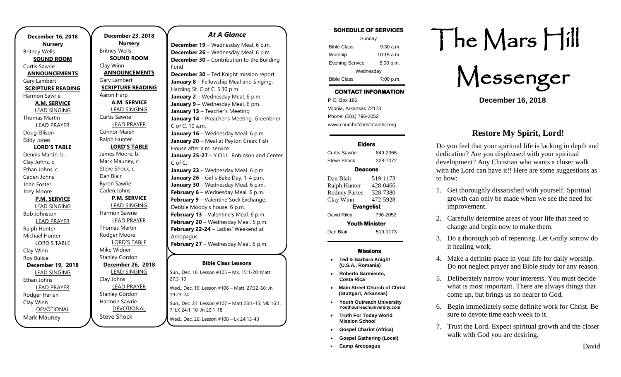**December 16, 2018 Nursery** Britney Wells **SOUND ROOM** Curtis Sawrie **ANNOUNCEMENTS** Gary Lambert **SCRIPTURE READING** Harmon Sawrie **A.M. SERVICE** LEAD SINGING Thomas Martin LEAD PRAYER Doug Ellison Eddy Jones **LORD'S TABLE** Dennis Martin, b. Clay Johns, c. Ethan Johns, c. Caden Johns John Foster Joey Moore **P.M. SERVICE** LEAD SINGING Bob Johnston LEAD PRAYER Ralph Hunter Michael Hunter LORD'S TABLE Clay Winn Roy Bulice **December 19, 2018** LEAD SINGING Ethan Johns LEAD PRAYER Rodger Harlan Clay Winn DEVOTIONAL Mark Mauney

**December 23, 2018 Nursery** Britney Wells **SOUND ROOM** Clay Winn **ANNOUNCEMENTS** Gary Lambert **SCRIPTURE READING** Aaron Harp **A.M. SERVICE** LEAD SINGING Curtis Sawrie LEAD PRAYER Connor Marsh Ralph Hunter **LORD'S TABLE** James Moore, b. Mark Mauney, c. Steve Shock, c. Dan Blair Byron Sawrie Caden Johns **P.M. SERVICE** LEAD SINGING Harmon Sawrie LEAD PRAYER Thomas Martin Rodger Moore LORD'S TABLE Mike Widner Stanley Gordon **December 26, 2018** LEAD SINGING Clay Johns LEAD PRAYER Stanley Gordon Harmon Sawrie DEVOTIONAL

Steve Shock

#### *At A Glance*

**December 19** – Wednesday Meal. 6 p.m. **December 26** – Wednesday Meal. 6 p.m. **December 30 –** Contribution to the Building Fund

**December 30** – Ted Knight mission report **January 8** – Fellowship Meal and Singing. Harding St. C of C. 5:30 p.m. **January 2** – Wednesday Meal. 6 p.m. **January 9 - Wednesday Meal. 6 pm. January 13** – Teacher's Meeting **January 14** – Preacher's Meeting. Greenbrier C of C. 10 a.m. **January 16** – Wednesday Meal. 6 p.m. **January 20** – Meal at Peyton Creek Fish House after a.m. service January 25-27 - Y.O.U. Robinson and Center C of C. January 23 - Wednesday Meal. 6 p.m. **January 26** – Girl's Bake Day. 1-4 p.m. **January 30 – Wednesday Meal. 6 p.m. February 6** – Wednesday Meal. 6 p.m. **February 9** – Valentine Sock Exchange. Debbie Moody's house. 6 p.m. **February 13** – Valentine's Meal. 6 p.m. **February 20** – Wednesday Meal. 6 p.m. **February 22-24** – Ladies' Weekend at Areopagus **February 27** – Wednesday Meal. 6 p.m.

## **Bible Class Lessons**

Sun., Dec. 16: Lesson #105 - Mk. 15:1-20; Matt.  $27:3-10$ Wed., Dec. 19: Lesson #106 - Matt. 27:32-66; Jn 19:23-24 Sun., Dec. 23: Lesson #107 – Matt 28:1-15; Mk 16:1, 7; LK 24:1-10; Jn 20:1-18 Wed., Dec. 26: Lesson #108 – Lk 24:13-43 **April 26-28-20-20 Print 26-20-20 March 16** – JOY Group meal at Smokin' Buns

#### **SCHEDULE OF SERVICES**

| Sunday                 |              |
|------------------------|--------------|
| <b>Bible Class</b>     | $9:30$ a.m.  |
| Worship                | $10:15$ a.m. |
| <b>Evening Service</b> | 5:00 p.m.    |
| Wednesday              |              |
| <b>Bible Class</b>     | 7:00 p.m.    |

# **CONTACT INFORMATION**

. .o. Box 166<br>Vilonia, Arkansas 72173 P.O. Box 185 Phone: (501) 796-2052 www.churchofchristmarshill.org

#### **Elders**

Curtis Sawrie 849-2365 Steve Shock 328-7072

#### **Deacons**

Dan Blair 519-1173 Ralph Hunter 428-0466 Rodney Partee 328-7380 Clay Winn 472-5928 **Evangelist**  David Riley 796-2052 **Youth Minister**  Dan Blair 519-1173

#### **Missions**

- **Ted & Barbara Knight (U.S.A., Romania)**
- **Roberto Sarmiento, Costa Rica**
- **Main Street Church of Christ (Stuttgart, Arkansas)**
- **Youth Outreach University Youthourreachuniversity.com**
- **Truth For Today World Mission School**
- **Gospel Chariot (Africa)**
- **Gospel Gathering (Local)**
- **Camp Areopagus**

# The Mars Hill

Messenger

**December 16, 2018**

# **Restore My Spirit, Lord!**

Do you feel that your spiritual life is lacking in depth and dedication? Are you displeased with your spiritual development? Any Christian who wants a closer walk with the Lord can have it!! Here are some suggestions as to how:

- 1. Get thoroughly dissatisfied with yourself. Spiritual growth can only be made when we see the need for improvement.
- 2. Carefully determine areas of your life that need to change and begin now to make them.
- 3. Do a thorough job of repenting. Let Godly sorrow do it healing work.
- 4. Make a definite place in your life for daily worship. Do not neglect prayer and Bible study for any reason.
- 5. Deliberately narrow your interests. You must decide what is most important. There are always things that come up, but brings us no nearer to God.
- 6. Begin immediately some definite work for Christ. Be sure to devote time each week to it.
- 7. Trust the Lord. Expect spiritual growth and the closer walk with God you are desiring.